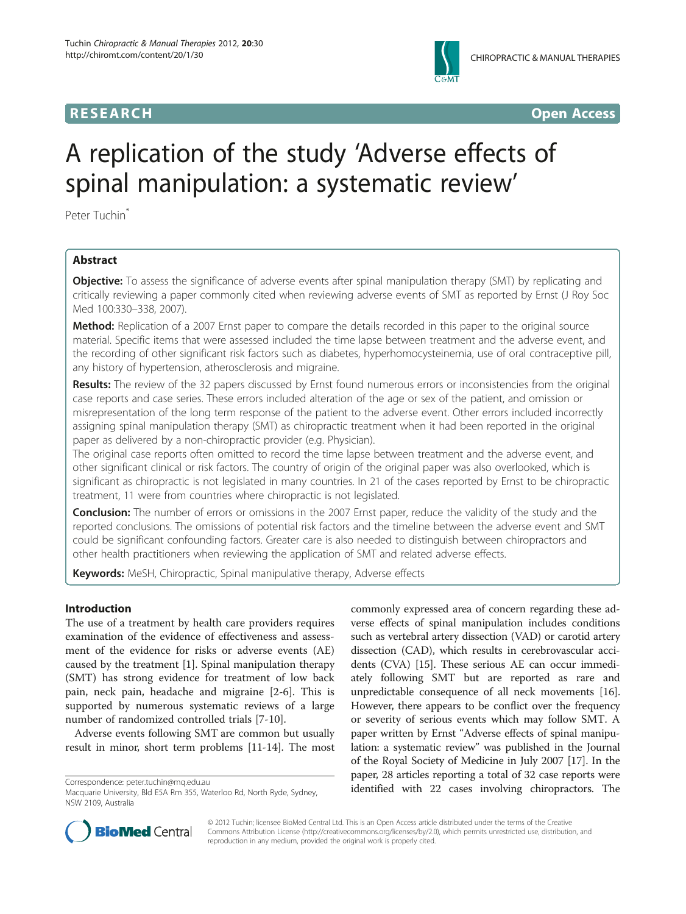# **RESEARCH RESEARCH** *CONSERVERSEARCH*



# A replication of the study 'Adverse effects of spinal manipulation: a systematic review'

Peter Tuchin<sup>\*</sup>

# Abstract

**Objective:** To assess the significance of adverse events after spinal manipulation therapy (SMT) by replicating and critically reviewing a paper commonly cited when reviewing adverse events of SMT as reported by Ernst (J Roy Soc Med 100:330–338, 2007).

Method: Replication of a 2007 Ernst paper to compare the details recorded in this paper to the original source material. Specific items that were assessed included the time lapse between treatment and the adverse event, and the recording of other significant risk factors such as diabetes, hyperhomocysteinemia, use of oral contraceptive pill, any history of hypertension, atherosclerosis and migraine.

Results: The review of the 32 papers discussed by Ernst found numerous errors or inconsistencies from the original case reports and case series. These errors included alteration of the age or sex of the patient, and omission or misrepresentation of the long term response of the patient to the adverse event. Other errors included incorrectly assigning spinal manipulation therapy (SMT) as chiropractic treatment when it had been reported in the original paper as delivered by a non-chiropractic provider (e.g. Physician).

The original case reports often omitted to record the time lapse between treatment and the adverse event, and other significant clinical or risk factors. The country of origin of the original paper was also overlooked, which is significant as chiropractic is not legislated in many countries. In 21 of the cases reported by Ernst to be chiropractic treatment, 11 were from countries where chiropractic is not legislated.

**Conclusion:** The number of errors or omissions in the 2007 Ernst paper, reduce the validity of the study and the reported conclusions. The omissions of potential risk factors and the timeline between the adverse event and SMT could be significant confounding factors. Greater care is also needed to distinguish between chiropractors and other health practitioners when reviewing the application of SMT and related adverse effects.

Keywords: MeSH, Chiropractic, Spinal manipulative therapy, Adverse effects

# Introduction

The use of a treatment by health care providers requires examination of the evidence of effectiveness and assessment of the evidence for risks or adverse events (AE) caused by the treatment [[1](#page-5-0)]. Spinal manipulation therapy (SMT) has strong evidence for treatment of low back pain, neck pain, headache and migraine [\[2](#page-5-0)-[6\]](#page-5-0). This is supported by numerous systematic reviews of a large number of randomized controlled trials [[7-10](#page-5-0)].

Adverse events following SMT are common but usually result in minor, short term problems [\[11-14](#page-5-0)]. The most

commonly expressed area of concern regarding these adverse effects of spinal manipulation includes conditions such as vertebral artery dissection (VAD) or carotid artery dissection (CAD), which results in cerebrovascular accidents (CVA) [[15](#page-5-0)]. These serious AE can occur immediately following SMT but are reported as rare and unpredictable consequence of all neck movements [[16](#page-5-0)]. However, there appears to be conflict over the frequency or severity of serious events which may follow SMT. A paper written by Ernst "Adverse effects of spinal manipulation: a systematic review" was published in the Journal of the Royal Society of Medicine in July 2007 [[17\]](#page-5-0). In the paper, 28 articles reporting a total of 32 case reports were Correspondence: [peter.tuchin@mq.edu.au](mailto:peter.tuchin@mq.edu.au) puper, exactors. The Correspondence: peter.tuchin@mq.edu.au chiropractors. The chiropractors. The correspondence: peter.tuchin@mq.edu.au chiropractors. The correspondence: Peter.tuchi



© 2012 Tuchin; licensee BioMed Central Ltd. This is an Open Access article distributed under the terms of the Creative Commons Attribution License [\(http://creativecommons.org/licenses/by/2.0\)](http://creativecommons.org/licenses/by/2.0), which permits unrestricted use, distribution, and reproduction in any medium, provided the original work is properly cited.

Macquarie University, Bld E5A Rm 355, Waterloo Rd, North Ryde, Sydney, NSW 2109, Australia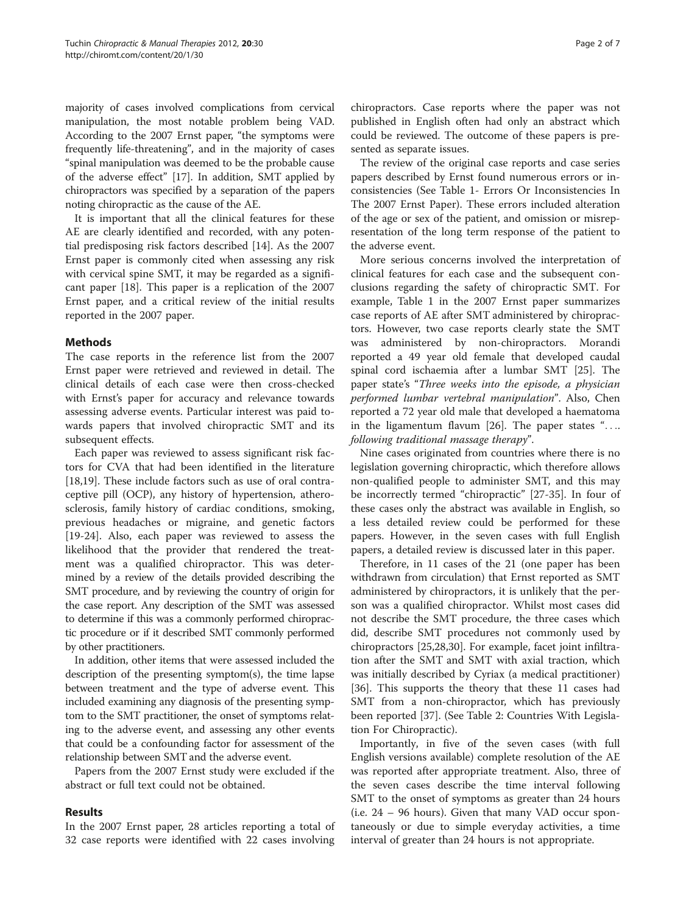majority of cases involved complications from cervical manipulation, the most notable problem being VAD. According to the 2007 Ernst paper, "the symptoms were frequently life-threatening", and in the majority of cases "spinal manipulation was deemed to be the probable cause of the adverse effect" [[17](#page-5-0)]. In addition, SMT applied by chiropractors was specified by a separation of the papers noting chiropractic as the cause of the AE.

It is important that all the clinical features for these AE are clearly identified and recorded, with any potential predisposing risk factors described [[14\]](#page-5-0). As the 2007 Ernst paper is commonly cited when assessing any risk with cervical spine SMT, it may be regarded as a significant paper [\[18\]](#page-5-0). This paper is a replication of the 2007 Ernst paper, and a critical review of the initial results reported in the 2007 paper.

# **Mathods**

The case reports in the reference list from the 2007 Ernst paper were retrieved and reviewed in detail. The clinical details of each case were then cross-checked with Ernst's paper for accuracy and relevance towards assessing adverse events. Particular interest was paid towards papers that involved chiropractic SMT and its subsequent effects.

Each paper was reviewed to assess significant risk factors for CVA that had been identified in the literature [[18,19\]](#page-5-0). These include factors such as use of oral contraceptive pill (OCP), any history of hypertension, atherosclerosis, family history of cardiac conditions, smoking, previous headaches or migraine, and genetic factors [[19-24](#page-5-0)]. Also, each paper was reviewed to assess the likelihood that the provider that rendered the treatment was a qualified chiropractor. This was determined by a review of the details provided describing the SMT procedure, and by reviewing the country of origin for the case report. Any description of the SMT was assessed to determine if this was a commonly performed chiropractic procedure or if it described SMT commonly performed by other practitioners.

In addition, other items that were assessed included the description of the presenting symptom(s), the time lapse between treatment and the type of adverse event. This included examining any diagnosis of the presenting symptom to the SMT practitioner, the onset of symptoms relating to the adverse event, and assessing any other events that could be a confounding factor for assessment of the relationship between SMT and the adverse event.

Papers from the 2007 Ernst study were excluded if the abstract or full text could not be obtained.

#### Results

In the 2007 Ernst paper, 28 articles reporting a total of 32 case reports were identified with 22 cases involving

chiropractors. Case reports where the paper was not published in English often had only an abstract which could be reviewed. The outcome of these papers is presented as separate issues.

The review of the original case reports and case series papers described by Ernst found numerous errors or inconsistencies (See Table [1-](#page-2-0) Errors Or Inconsistencies In The 2007 Ernst Paper). These errors included alteration of the age or sex of the patient, and omission or misrepresentation of the long term response of the patient to the adverse event.

More serious concerns involved the interpretation of clinical features for each case and the subsequent conclusions regarding the safety of chiropractic SMT. For example, Table [1](#page-2-0) in the 2007 Ernst paper summarizes case reports of AE after SMT administered by chiropractors. However, two case reports clearly state the SMT was administered by non-chiropractors. Morandi reported a 49 year old female that developed caudal spinal cord ischaemia after a lumbar SMT [[25\]](#page-5-0). The paper state's "Three weeks into the episode, a physician performed lumbar vertebral manipulation". Also, Chen reported a 72 year old male that developed a haematoma in the ligamentum flavum  $[26]$ . The paper states "... following traditional massage therapy".

Nine cases originated from countries where there is no legislation governing chiropractic, which therefore allows non-qualified people to administer SMT, and this may be incorrectly termed "chiropractic" [[27](#page-6-0)-[35\]](#page-6-0). In four of these cases only the abstract was available in English, so a less detailed review could be performed for these papers. However, in the seven cases with full English papers, a detailed review is discussed later in this paper.

Therefore, in 11 cases of the 21 (one paper has been withdrawn from circulation) that Ernst reported as SMT administered by chiropractors, it is unlikely that the person was a qualified chiropractor. Whilst most cases did not describe the SMT procedure, the three cases which did, describe SMT procedures not commonly used by chiropractors [\[25](#page-5-0)[,28,30](#page-6-0)]. For example, facet joint infiltration after the SMT and SMT with axial traction, which was initially described by Cyriax (a medical practitioner) [[36\]](#page-6-0). This supports the theory that these 11 cases had SMT from a non-chiropractor, which has previously been reported [[37\]](#page-6-0). (See Table [2](#page-3-0): Countries With Legislation For Chiropractic).

Importantly, in five of the seven cases (with full English versions available) complete resolution of the AE was reported after appropriate treatment. Also, three of the seven cases describe the time interval following SMT to the onset of symptoms as greater than 24 hours (i.e. 24 – 96 hours). Given that many VAD occur spontaneously or due to simple everyday activities, a time interval of greater than 24 hours is not appropriate.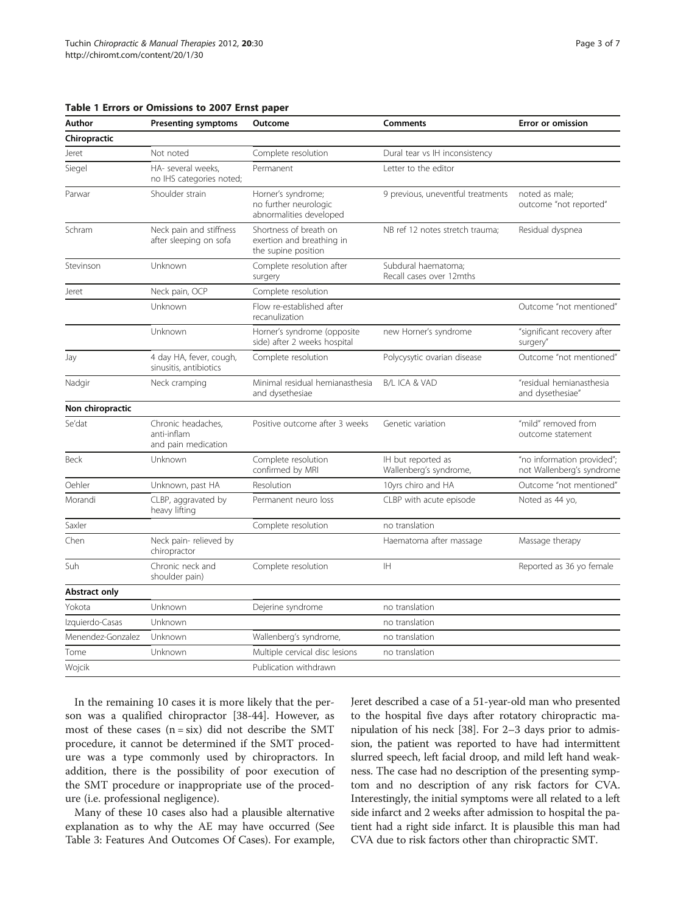| Author               | <b>Presenting symptoms</b>                               | Outcome                                                                    | <b>Comments</b>                                 | Error or omission                                       |
|----------------------|----------------------------------------------------------|----------------------------------------------------------------------------|-------------------------------------------------|---------------------------------------------------------|
| Chiropractic         |                                                          |                                                                            |                                                 |                                                         |
| Jeret                | Not noted                                                | Complete resolution                                                        | Dural tear vs IH inconsistency                  |                                                         |
| Siegel               | HA- several weeks,<br>no IHS categories noted;           | Permanent                                                                  | Letter to the editor                            |                                                         |
| Parwar               | Shoulder strain                                          | Horner's syndrome;<br>no further neurologic<br>abnormalities developed     | 9 previous, uneventful treatments               |                                                         |
| Schram               | Neck pain and stiffness<br>after sleeping on sofa        | Shortness of breath on<br>exertion and breathing in<br>the supine position | NB ref 12 notes stretch trauma;                 |                                                         |
| Stevinson            | Unknown                                                  | Complete resolution after<br>surgery                                       | Subdural haematoma;<br>Recall cases over 12mths |                                                         |
| Jeret                | Neck pain, OCP                                           | Complete resolution                                                        |                                                 |                                                         |
|                      | Unknown                                                  | Flow re-established after<br>recanulization                                |                                                 | Outcome "not mentioned"                                 |
|                      | Unknown                                                  | Horner's syndrome (opposite<br>side) after 2 weeks hospital                | new Horner's syndrome                           | "significant recovery after<br>surgery"                 |
| Jay                  | 4 day HA, fever, cough,<br>sinusitis, antibiotics        | Complete resolution                                                        | Polycysytic ovarian disease                     | Outcome "not mentioned"                                 |
| Nadgir               | Neck cramping                                            | Minimal residual hemianasthesia<br>and dysethesiae                         | <b>B/L ICA &amp; VAD</b>                        | "residual hemianasthesia<br>and dysethesiae"            |
| Non chiropractic     |                                                          |                                                                            |                                                 |                                                         |
| Se'dat               | Chronic headaches,<br>anti-inflam<br>and pain medication | Positive outcome after 3 weeks                                             | Genetic variation                               | "mild" removed from<br>outcome statement                |
| Beck                 | Unknown                                                  | Complete resolution<br>confirmed by MRI                                    | IH but reported as<br>Wallenberg's syndrome,    | "no information provided";<br>not Wallenberg's syndrome |
| Oehler               | Unknown, past HA                                         | Resolution                                                                 | 10yrs chiro and HA                              | Outcome "not mentioned"                                 |
| Morandi              | CLBP, aggravated by<br>heavy lifting                     | Permanent neuro loss                                                       | CLBP with acute episode                         | Noted as 44 yo,                                         |
| Saxler               |                                                          | Complete resolution                                                        | no translation                                  |                                                         |
| Chen                 | Neck pain- relieved by<br>chiropractor                   |                                                                            | Haematoma after massage                         | Massage therapy                                         |
| Suh                  | Chronic neck and<br>shoulder pain)                       | Complete resolution                                                        | ΙH                                              | Reported as 36 yo female                                |
| <b>Abstract only</b> |                                                          |                                                                            |                                                 |                                                         |
| Yokota               | Unknown                                                  | Dejerine syndrome                                                          | no translation                                  |                                                         |
| Izquierdo-Casas      | Unknown                                                  |                                                                            | no translation                                  |                                                         |
| Menendez-Gonzalez    | Unknown                                                  | Wallenberg's syndrome,                                                     | no translation                                  |                                                         |
| Tome                 | Unknown                                                  | Multiple cervical disc lesions                                             | no translation                                  |                                                         |
| Wojcik               |                                                          | Publication withdrawn                                                      |                                                 |                                                         |

<span id="page-2-0"></span>

|  |  |  | Table 1 Errors or Omissions to 2007 Ernst paper |  |  |  |  |
|--|--|--|-------------------------------------------------|--|--|--|--|
|--|--|--|-------------------------------------------------|--|--|--|--|

In the remaining 10 cases it is more likely that the person was a qualified chiropractor [\[38](#page-6-0)-[44\]](#page-6-0). However, as most of these cases  $(n = six)$  did not describe the SMT procedure, it cannot be determined if the SMT procedure was a type commonly used by chiropractors. In addition, there is the possibility of poor execution of the SMT procedure or inappropriate use of the procedure (i.e. professional negligence).

Many of these 10 cases also had a plausible alternative explanation as to why the AE may have occurred (See Table [3](#page-4-0): Features And Outcomes Of Cases). For example, Jeret described a case of a 51-year-old man who presented to the hospital five days after rotatory chiropractic manipulation of his neck [[38\]](#page-6-0). For 2–3 days prior to admission, the patient was reported to have had intermittent slurred speech, left facial droop, and mild left hand weakness. The case had no description of the presenting symptom and no description of any risk factors for CVA. Interestingly, the initial symptoms were all related to a left side infarct and 2 weeks after admission to hospital the patient had a right side infarct. It is plausible this man had CVA due to risk factors other than chiropractic SMT.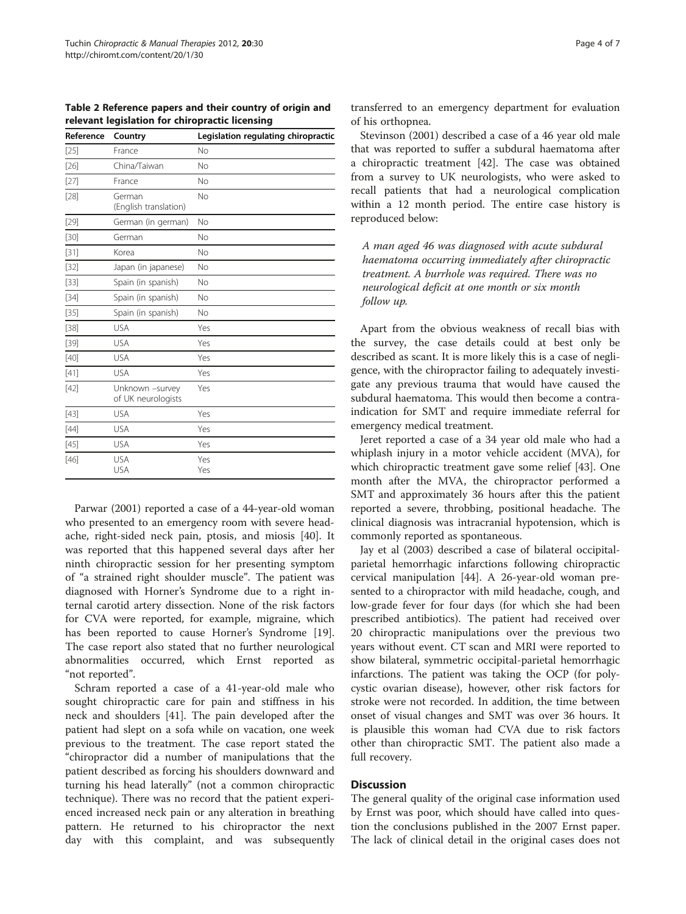<span id="page-3-0"></span>Table 2 Reference papers and their country of origin and relevant legislation for chiropractic licensing

| Reference | Country                               | Legislation regulating chiropractic |
|-----------|---------------------------------------|-------------------------------------|
| $[25]$    | France                                | No                                  |
| [26]      | China/Taiwan                          | No                                  |
| [27]      | France                                | No                                  |
| $[28]$    | German<br>(English translation)       | No                                  |
| $[29]$    | German (in german)                    | No                                  |
| $[30]$    | German                                | No                                  |
| $[31]$    | Korea                                 | No                                  |
| $[32]$    | Japan (in japanese)                   | No                                  |
| $[33]$    | Spain (in spanish)                    | No                                  |
| $[34]$    | Spain (in spanish)                    | No                                  |
| $[35]$    | Spain (in spanish)                    | No                                  |
| $[38]$    | <b>USA</b>                            | Yes                                 |
| $[39]$    | <b>USA</b>                            | Yes                                 |
| [40]      | <b>USA</b>                            | Yes                                 |
| $[41]$    | <b>USA</b>                            | Yes                                 |
| $[42]$    | Unknown -survey<br>of UK neurologists | Yes                                 |
| $[43]$    | <b>USA</b>                            | Yes                                 |
| $[44]$    | <b>USA</b>                            | Yes                                 |
| $[45]$    | <b>USA</b>                            | Yes                                 |
| $[46]$    | <b>USA</b><br><b>USA</b>              | Yes<br>Yes                          |

Parwar (2001) reported a case of a 44-year-old woman who presented to an emergency room with severe headache, right-sided neck pain, ptosis, and miosis [\[40\]](#page-6-0). It was reported that this happened several days after her ninth chiropractic session for her presenting symptom of "a strained right shoulder muscle". The patient was diagnosed with Horner's Syndrome due to a right internal carotid artery dissection. None of the risk factors for CVA were reported, for example, migraine, which has been reported to cause Horner's Syndrome [\[19](#page-5-0)]. The case report also stated that no further neurological abnormalities occurred, which Ernst reported as "not reported".

Schram reported a case of a 41-year-old male who sought chiropractic care for pain and stiffness in his neck and shoulders [[41\]](#page-6-0). The pain developed after the patient had slept on a sofa while on vacation, one week previous to the treatment. The case report stated the "chiropractor did a number of manipulations that the patient described as forcing his shoulders downward and turning his head laterally" (not a common chiropractic technique). There was no record that the patient experienced increased neck pain or any alteration in breathing pattern. He returned to his chiropractor the next day with this complaint, and was subsequently

transferred to an emergency department for evaluation of his orthopnea.

Stevinson (2001) described a case of a 46 year old male that was reported to suffer a subdural haematoma after a chiropractic treatment [[42](#page-6-0)]. The case was obtained from a survey to UK neurologists, who were asked to recall patients that had a neurological complication within a 12 month period. The entire case history is reproduced below:

A man aged 46 was diagnosed with acute subdural haematoma occurring immediately after chiropractic treatment. A burrhole was required. There was no neurological deficit at one month or six month follow up.

Apart from the obvious weakness of recall bias with the survey, the case details could at best only be described as scant. It is more likely this is a case of negligence, with the chiropractor failing to adequately investigate any previous trauma that would have caused the subdural haematoma. This would then become a contraindication for SMT and require immediate referral for emergency medical treatment.

Jeret reported a case of a 34 year old male who had a whiplash injury in a motor vehicle accident (MVA), for which chiropractic treatment gave some relief [\[43](#page-6-0)]. One month after the MVA, the chiropractor performed a SMT and approximately 36 hours after this the patient reported a severe, throbbing, positional headache. The clinical diagnosis was intracranial hypotension, which is commonly reported as spontaneous.

Jay et al (2003) described a case of bilateral occipitalparietal hemorrhagic infarctions following chiropractic cervical manipulation [\[44](#page-6-0)]. A 26-year-old woman presented to a chiropractor with mild headache, cough, and low-grade fever for four days (for which she had been prescribed antibiotics). The patient had received over 20 chiropractic manipulations over the previous two years without event. CT scan and MRI were reported to show bilateral, symmetric occipital-parietal hemorrhagic infarctions. The patient was taking the OCP (for polycystic ovarian disease), however, other risk factors for stroke were not recorded. In addition, the time between onset of visual changes and SMT was over 36 hours. It is plausible this woman had CVA due to risk factors other than chiropractic SMT. The patient also made a full recovery.

#### **Discussion**

The general quality of the original case information used by Ernst was poor, which should have called into question the conclusions published in the 2007 Ernst paper. The lack of clinical detail in the original cases does not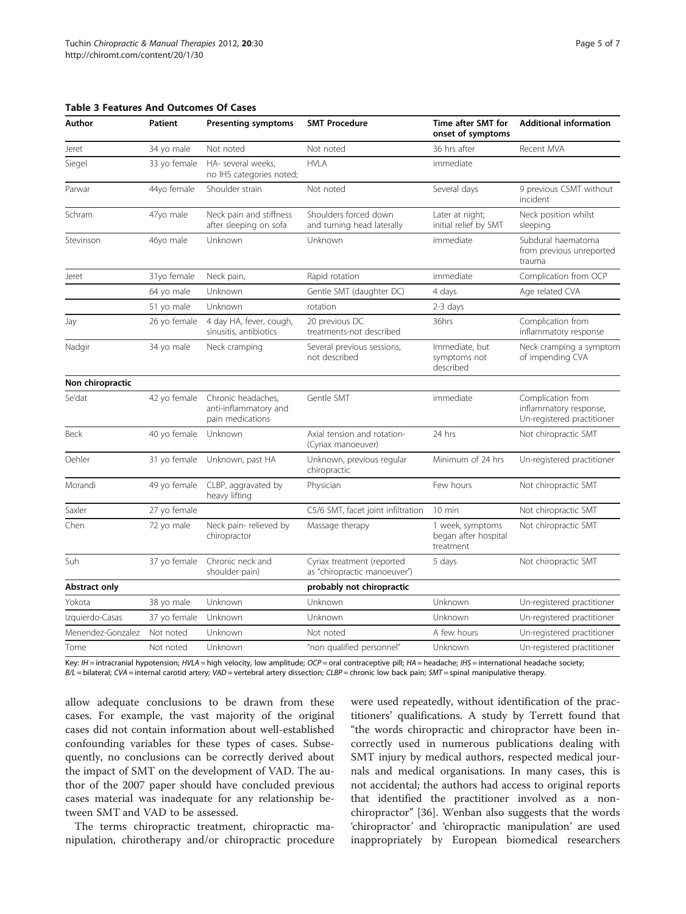#### <span id="page-4-0"></span>Table 3 Features And Outcomes Of Cases

| Author               | <b>Patient</b> | <b>Presenting symptoms</b>                                      | <b>SMT Procedure</b>                                       | Time after SMT for<br>onset of symptoms               | <b>Additional information</b>                                             |
|----------------------|----------------|-----------------------------------------------------------------|------------------------------------------------------------|-------------------------------------------------------|---------------------------------------------------------------------------|
| Jeret                | 34 yo male     | Not noted                                                       | Not noted                                                  | 36 hrs after                                          | Recent MVA                                                                |
| Siegel               | 33 yo female   | HA- several weeks,<br>no IHS categories noted;                  | <b>HVLA</b>                                                | immediate                                             |                                                                           |
| Parwar               | 44yo female    | Shoulder strain                                                 | Not noted<br>Several days                                  |                                                       | 9 previous CSMT without<br>incident                                       |
| Schram               | 47yo male      | Neck pain and stiffness<br>after sleeping on sofa               | Shoulders forced down<br>and turning head laterally        | Later at night;<br>initial relief by SMT              | Neck position whilst<br>sleeping                                          |
| Stevinson            | 46yo male      | Unknown                                                         | Unknown                                                    | immediate                                             | Subdural haematoma<br>from previous unreported<br>trauma                  |
| Jeret                | 31yo female    | Neck pain,                                                      | Rapid rotation                                             | immediate                                             | Complication from OCP                                                     |
|                      | 64 yo male     | Unknown                                                         | Gentle SMT (daughter DC)                                   | 4 days                                                | Age related CVA                                                           |
|                      | 51 yo male     | Unknown                                                         | rotation                                                   | 2-3 days                                              |                                                                           |
| Jay                  | 26 yo female   | 4 day HA, fever, cough,<br>sinusitis, antibiotics               | 20 previous DC<br>treatments-not described                 | 36hrs                                                 | Complication from<br>inflammatory response                                |
| Nadgir               | 34 yo male     | Neck cramping                                                   | Several previous sessions,<br>not described                | Immediate, but<br>symptoms not<br>described           | Neck cramping a symptom<br>of impending CVA                               |
| Non chiropractic     |                |                                                                 |                                                            |                                                       |                                                                           |
| Se'dat               | 42 yo female   | Chronic headaches,<br>anti-inflammatory and<br>pain medications | Gentle SMT                                                 | immediate                                             | Complication from<br>inflammatory response,<br>Un-registered practitioner |
| Beck                 | 40 yo female   | Unknown                                                         | Axial tension and rotation-<br>(Cyriax manoeuver)          | 24 hrs                                                | Not chiropractic SMT                                                      |
| Oehler               | 31 yo female   | Unknown, past HA                                                | Unknown, previous regular<br>chiropractic                  | Minimum of 24 hrs                                     | Un-registered practitioner                                                |
| Morandi              | 49 yo female   | CLBP, aggravated by<br>heavy lifting                            | Physician                                                  | Few hours                                             | Not chiropractic SMT                                                      |
| Saxler               | 27 yo female   |                                                                 | C5/6 SMT, facet joint infiltration                         | $10 \text{ min}$                                      | Not chiropractic SMT                                                      |
| Chen                 | 72 yo male     | Neck pain- relieved by<br>chiropractor                          | Massage therapy                                            | 1 week, symptoms<br>began after hospital<br>treatment | Not chiropractic SMT                                                      |
| Suh                  | 37 yo female   | Chronic neck and<br>shoulder pain)                              | Cyriax treatment (reported<br>as "chiropractic manoeuver") | 5 days                                                | Not chiropractic SMT                                                      |
| <b>Abstract only</b> |                |                                                                 | probably not chiropractic                                  |                                                       |                                                                           |
| Yokota               | 38 yo male     | Unknown                                                         | Unknown                                                    | Unknown                                               | Un-registered practitioner                                                |
| Izquierdo-Casas      | 37 yo female   | Unknown                                                         | Unknown                                                    | Unknown                                               | Un-registered practitioner                                                |
| Menendez-Gonzalez    | Not noted      | Unknown                                                         | Not noted                                                  | A few hours                                           | Un-registered practitioner                                                |
| Tome                 | Not noted      | Unknown                                                         | "non qualified personnel"                                  | Unknown                                               | Un-registered practitioner                                                |
|                      |                |                                                                 |                                                            |                                                       |                                                                           |

Key: IH = intracranial hypotension; HVLA = high velocity, low amplitude; OCP = oral contraceptive pill; HA = headache; IHS = international headache society; B/L = bilateral; CVA = internal carotid artery; VAD = vertebral artery dissection; CLBP = chronic low back pain; SMT = spinal manipulative therapy.

allow adequate conclusions to be drawn from these cases. For example, the vast majority of the original cases did not contain information about well-established confounding variables for these types of cases. Subsequently, no conclusions can be correctly derived about the impact of SMT on the development of VAD. The author of the 2007 paper should have concluded previous cases material was inadequate for any relationship between SMT and VAD to be assessed.

The terms chiropractic treatment, chiropractic manipulation, chirotherapy and/or chiropractic procedure

were used repeatedly, without identification of the practitioners' qualifications. A study by Terrett found that "the words chiropractic and chiropractor have been incorrectly used in numerous publications dealing with SMT injury by medical authors, respected medical journals and medical organisations. In many cases, this is not accidental; the authors had access to original reports that identified the practitioner involved as a nonchiropractor" [[36](#page-6-0)]. Wenban also suggests that the words 'chiropractor' and 'chiropractic manipulation' are used inappropriately by European biomedical researchers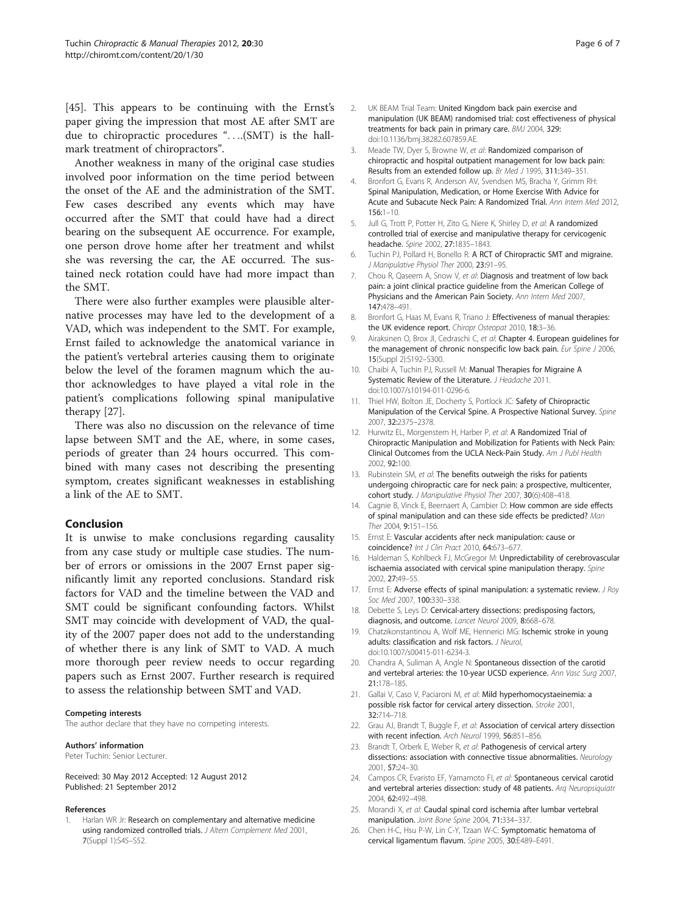<span id="page-5-0"></span>[[45\]](#page-6-0). This appears to be continuing with the Ernst's paper giving the impression that most AE after SMT are due to chiropractic procedures "....(SMT) is the hallmark treatment of chiropractors".

Another weakness in many of the original case studies involved poor information on the time period between the onset of the AE and the administration of the SMT. Few cases described any events which may have occurred after the SMT that could have had a direct bearing on the subsequent AE occurrence. For example, one person drove home after her treatment and whilst she was reversing the car, the AE occurred. The sustained neck rotation could have had more impact than the SMT.

There were also further examples were plausible alternative processes may have led to the development of a VAD, which was independent to the SMT. For example, Ernst failed to acknowledge the anatomical variance in the patient's vertebral arteries causing them to originate below the level of the foramen magnum which the author acknowledges to have played a vital role in the patient's complications following spinal manipulative therapy [\[27](#page-6-0)].

There was also no discussion on the relevance of time lapse between SMT and the AE, where, in some cases, periods of greater than 24 hours occurred. This combined with many cases not describing the presenting symptom, creates significant weaknesses in establishing a link of the AE to SMT.

#### Conclusion

It is unwise to make conclusions regarding causality from any case study or multiple case studies. The number of errors or omissions in the 2007 Ernst paper significantly limit any reported conclusions. Standard risk factors for VAD and the timeline between the VAD and SMT could be significant confounding factors. Whilst SMT may coincide with development of VAD, the quality of the 2007 paper does not add to the understanding of whether there is any link of SMT to VAD. A much more thorough peer review needs to occur regarding papers such as Ernst 2007. Further research is required to assess the relationship between SMT and VAD.

#### Competing interests

The author declare that they have no competing interests.

#### Authors' information

Peter Tuchin: Senior Lecturer.

Received: 30 May 2012 Accepted: 12 August 2012 Published: 21 September 2012

#### References

Harlan WR Jr: Research on complementary and alternative medicine using randomized controlled trials. J Altern Complement Med 2001, 7(Suppl 1):S45–S52.

- 3. Meade TW, Dyer S, Browne W, et al: Randomized comparison of chiropractic and hospital outpatient management for low back pain: Results from an extended follow up. Br Med J 1995, 311:349–351.
- 4. Bronfort G, Evans R, Anderson AV, Svendsen MS, Bracha Y, Grimm RH: Spinal Manipulation, Medication, or Home Exercise With Advice for Acute and Subacute Neck Pain: A Randomized Trial. Ann Intern Med 2012, 156:1–10.
- 5. Jull G, Trott P, Potter H, Zito G, Niere K, Shirley D, et al: A randomized controlled trial of exercise and manipulative therapy for cervicogenic headache. Spine 2002, 27:1835–1843.
- 6. Tuchin PJ, Pollard H, Bonello R: A RCT of Chiropractic SMT and migraine. J Manipulative Physiol Ther 2000, 23:91–95.
- 7. Chou R, Qaseem A, Snow V, et al: Diagnosis and treatment of low back pain: a joint clinical practice guideline from the American College of Physicians and the American Pain Society. Ann Intern Med 2007, 147:478–491.
- 8. Bronfort G, Haas M, Evans R, Triano J: Effectiveness of manual therapies: the UK evidence report. Chiropr Osteopat 2010, 18:3-36.
- 9. Airaksinen O, Brox Jl, Cedraschi C, et al: Chapter 4. European guidelines for the management of chronic nonspecific low back pain. Eur Spine J 2006, 15(Suppl 2):S192–S300.
- 10. Chaibi A, Tuchin PJ, Russell M: Manual Therapies for Migraine A Systematic Review of the Literature. *J Headache* 2011. doi[:10.1007/s10194-011-0296-6](http://dx.doi.org/10.1007/s10194-011-0296-6).
- 11. Thiel HW, Bolton JE, Docherty S, Portlock JC: Safety of Chiropractic Manipulation of the Cervical Spine. A Prospective National Survey. Spine 2007, 32:2375–2378.
- 12. Hurwitz EL, Morgenstern H, Harber P, et al: A Randomized Trial of Chiropractic Manipulation and Mobilization for Patients with Neck Pain: Clinical Outcomes from the UCLA Neck-Pain Study. Am J Publ Health 2002, 92:100.
- 13. Rubinstein SM, et al: The benefits outweigh the risks for patients undergoing chiropractic care for neck pain: a prospective, multicenter, cohort study. J Manipulative Physiol Ther 2007, 30(6):408-418.
- 14. Cagnie B, Vinck E, Beernaert A, Cambier D: How common are side effects of spinal manipulation and can these side effects be predicted? Man Ther 2004, 9:151–156.
- 15. Ernst E: Vascular accidents after neck manipulation: cause or coincidence? Int J Clin Pract 2010, 64:673-677
- 16. Haldeman S, Kohlbeck FJ, McGregor M: Unpredictability of cerebrovascular ischaemia associated with cervical spine manipulation therapy. Spine 2002, 27:49–55.
- 17. Ernst E: Adverse effects of spinal manipulation: a systematic review. J Roy Soc Med 2007, 100:330–338.
- 18. Debette S, Leys D: Cervical-artery dissections: predisposing factors, diagnosis, and outcome. Lancet Neurol 2009, 8:668–678.
- 19. Chatzikonstantinou A, Wolf ME, Hennerici MG: Ischemic stroke in young adults: classification and risk factors. J Neurol, doi[:10.1007/s00415-011-6234-3](http://dx.doi.org/10.1007/s00415-011-6234-3).
- 20. Chandra A, Suliman A, Angle N: Spontaneous dissection of the carotid and vertebral arteries: the 10-year UCSD experience. Ann Vasc Surg 2007, 21:178–185.
- 21. Gallai V, Caso V, Paciaroni M, et al: Mild hyperhomocystaeinemia: a possible risk factor for cervical artery dissection. Stroke 2001, 32:714–718.
- 22. Grau AJ, Brandt T, Buggle F, et al: Association of cervical artery dissection with recent infection. Arch Neurol 1999, 56:851-856.
- 23. Brandt T, Orberk E, Weber R, et al: Pathogenesis of cervical artery dissections: association with connective tissue abnormalities. Neurology 2001, 57:24–30.
- 24. Campos CR, Evaristo EF, Yamamoto FI, et al: Spontaneous cervical carotid and vertebral arteries dissection: study of 48 patients. Arq Neuropsiquiatr 2004, 62:492–498.
- 25. Morandi X, et al: Caudal spinal cord ischemia after lumbar vertebral manipulation. Joint Bone Spine 2004, 71:334-337.
- 26. Chen H-C, Hsu P-W, Lin C-Y, Tzaan W-C: Symptomatic hematoma of cervical ligamentum flavum. Spine 2005, 30:E489–E491.